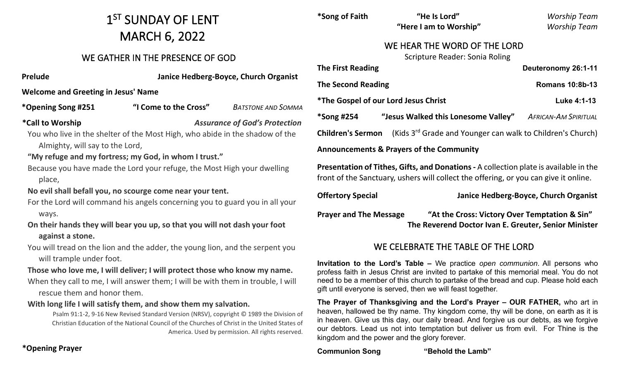# 1<sup>ST</sup> SUNDAY OF LENT MARCH 6, 2022

# WE GATHER IN THE PRESENCE OF GOD

**Prelude Janice Hedberg-Boyce, Church Organist**

**Welcome and Greeting in Jesus' Name** 

**\*Opening Song #251 "I Come to the Cross"** *BATSTONE AND SOMMA*

**\*Call to Worship** *Assurance of God's Protection*

You who live in the shelter of the Most High, who abide in the shadow of the Almighty, will say to the Lord,

**"My refuge and my fortress; my God, in whom I trust."**

- Because you have made the Lord your refuge, the Most High your dwelling place,
- **No evil shall befall you, no scourge come near your tent.**
- For the Lord will command his angels concerning you to guard you in all your ways.

# **On their hands they will bear you up, so that you will not dash your foot against a stone.**

You will tread on the lion and the adder, the young lion, and the serpent you will trample under foot.

## **Those who love me, I will deliver; I will protect those who know my name.**

When they call to me, I will answer them; I will be with them in trouble, I will rescue them and honor them.

# **With long life I will satisfy them, and show them my salvation.**

Psalm 91:1-2, 9-16 New Revised Standard Version (NRSV), copyright © 1989 the Division of Christian Education of the National Council of the Churches of Christ in the United States of America. Used by permission. All rights reserved.

| *Song of Faith                                                                                                                                                                       | "He Is Lord"                                             | <b>Worship Team</b>    |
|--------------------------------------------------------------------------------------------------------------------------------------------------------------------------------------|----------------------------------------------------------|------------------------|
|                                                                                                                                                                                      | "Here I am to Worship"                                   | <b>Worship Team</b>    |
| WE HEAR THE WORD OF THE LORD                                                                                                                                                         |                                                          |                        |
|                                                                                                                                                                                      | <b>Scripture Reader: Sonia Roling</b>                    |                        |
| <b>The First Reading</b>                                                                                                                                                             |                                                          | Deuteronomy 26:1-11    |
| <b>The Second Reading</b>                                                                                                                                                            |                                                          | <b>Romans 10:8b-13</b> |
| <i><b>*The Gospel of our Lord Jesus Christ</b></i>                                                                                                                                   |                                                          | Luke 4:1-13            |
| *Song #254                                                                                                                                                                           | "Jesus Walked this Lonesome Valley" AFRICAN-AM SPIRITUAL |                        |
| (Kids 3 <sup>rd</sup> Grade and Younger can walk to Children's Church)<br><b>Children's Sermon</b>                                                                                   |                                                          |                        |
| <b>Announcements &amp; Prayers of the Community</b>                                                                                                                                  |                                                          |                        |
| <b>Presentation of Tithes, Gifts, and Donations - A collection plate is available in the</b><br>front of the Sanctuary, ushers will collect the offering, or you can give it online. |                                                          |                        |

**Offertory Special Janice Hedberg-Boyce, Church Organist**

**Prayer and The Message "At the Cross: Victory Over Temptation & Sin" The Reverend Doctor Ivan E. Greuter, Senior Minister** 

# WE CELEBRATE THE TABLE OF THE LORD

**Invitation to the Lord's Table –** We practice *open communion*. All persons who profess faith in Jesus Christ are invited to partake of this memorial meal. You do not need to be a member of this church to partake of the bread and cup. Please hold each gift until everyone is served, then we will feast together.

**The Prayer of Thanksgiving and the Lord's Prayer – OUR FATHER,** who art in heaven, hallowed be thy name. Thy kingdom come, thy will be done, on earth as it is in heaven. Give us this day, our daily bread. And forgive us our debts, as we forgive our debtors. Lead us not into temptation but deliver us from evil. For Thine is the kingdom and the power and the glory forever.

**Communion Song "Behold the Lamb"**